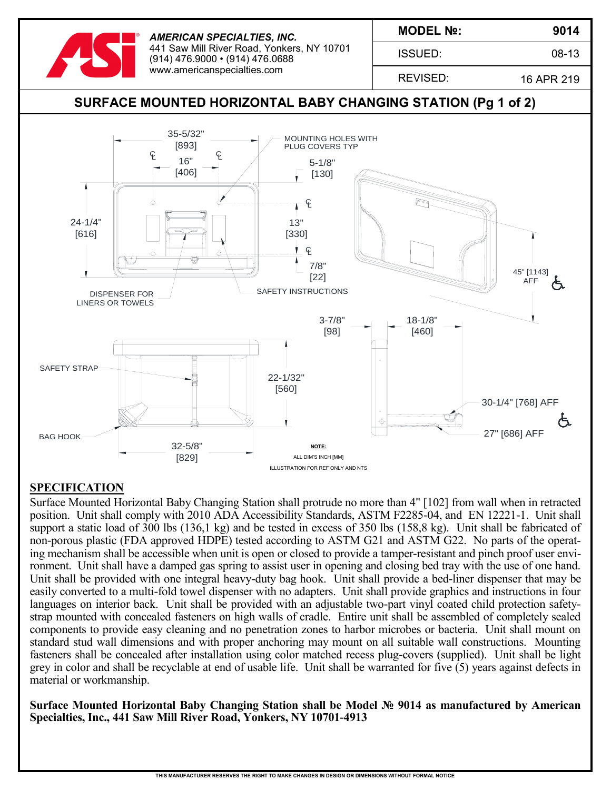

ISSUED:

**9014**

08-13

REVISED:

16 APR 219



## **SPECIFICATION**

Surface Mounted Horizontal Baby Changing Station shall protrude no more than 4" [102] from wall when in retracted position. Unit shall comply with 2010 ADA Accessibility Standards, ASTM F2285-04, and EN 12221-1. Unit shall support a static load of 300 lbs (136,1 kg) and be tested in excess of 350 lbs (158,8 kg). Unit shall be fabricated of non-porous plastic (FDA approved HDPE) tested according to ASTM G21 and ASTM G22. No parts of the operating mechanism shall be accessible when unit is open or closed to provide a tamper-resistant and pinch proof user environment. Unit shall have a damped gas spring to assist user in opening and closing bed tray with the use of one hand. Unit shall be provided with one integral heavy-duty bag hook. Unit shall provide a bed-liner dispenser that may be easily converted to a multi-fold towel dispenser with no adapters. Unit shall provide graphics and instructions in four languages on interior back. Unit shall be provided with an adjustable two-part vinyl coated child protection safetystrap mounted with concealed fasteners on high walls of cradle. Entire unit shall be assembled of completely sealed components to provide easy cleaning and no penetration zones to harbor microbes or bacteria. Unit shall mount on standard stud wall dimensions and with proper anchoring may mount on all suitable wall constructions. Mounting fasteners shall be concealed after installation using color matched recess plug-covers (supplied). Unit shall be light grey in color and shall be recyclable at end of usable life. Unit shall be warranted for five (5) years against defects in material or workmanship.

**Surface Mounted Horizontal Baby Changing Station shall be Model № 9014 as manufactured by American Specialties, Inc., 441 Saw Mill River Road, Yonkers, NY 10701-4913**